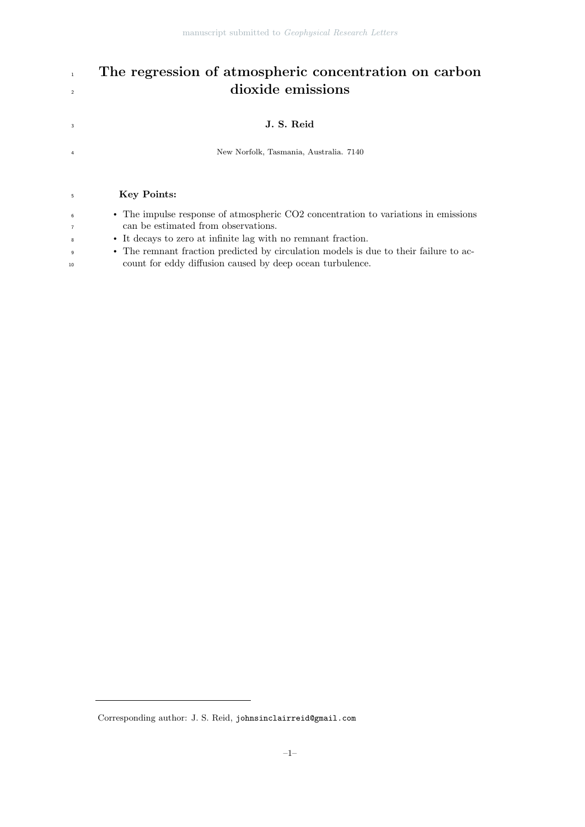# <sup>1</sup> The regression of atmospheric concentration on carbon dioxide emissions

# <sup>3</sup> J. S. Reid

New Norfolk, Tasmania, Australia. 7140

## Key Points:

| • The impulse response of atmospheric CO2 concentration to variations in emissions |
|------------------------------------------------------------------------------------|
| can be estimated from observations.                                                |

- It decays to zero at infinite lag with no remnant fraction.
- The remnant fraction predicted by circulation models is due to their failure to ac-count for eddy diffusion caused by deep ocean turbulence.

Corresponding author: J. S. Reid, johnsinclairreid@gmail.com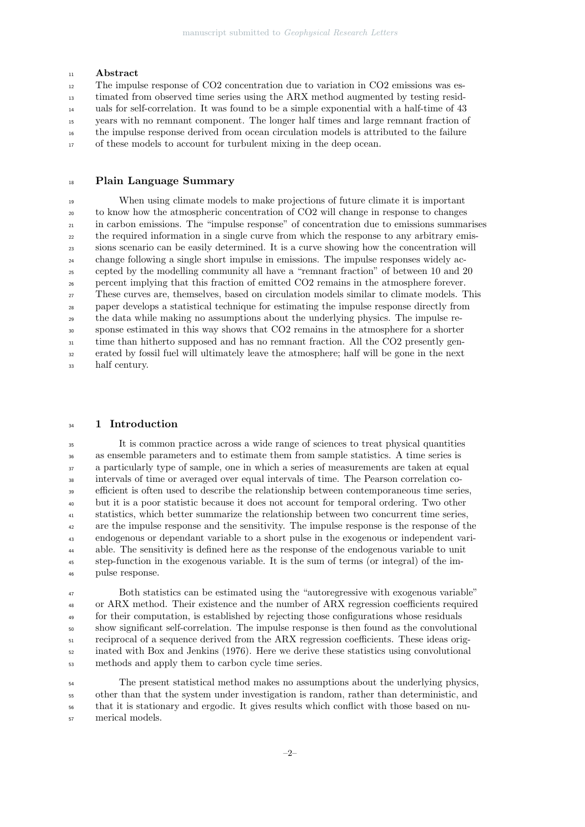### <sup>11</sup> Abstract

 The impulse response of CO2 concentration due to variation in CO2 emissions was es- timated from observed time series using the ARX method augmented by testing resid- uals for self-correlation. It was found to be a simple exponential with a half-time of 43 years with no remnant component. The longer half times and large remnant fraction of the impulse response derived from ocean circulation models is attributed to the failure <sup>17</sup> of these models to account for turbulent mixing in the deep ocean.

## Plain Language Summary

 When using climate models to make projections of future climate it is important to know how the atmospheric concentration of CO2 will change in response to changes in carbon emissions. The "impulse response" of concentration due to emissions summarises <sub>22</sub> the required information in a single curve from which the response to any arbitrary emis- sions scenario can be easily determined. It is a curve showing how the concentration will change following a single short impulse in emissions. The impulse responses widely ac- cepted by the modelling community all have a "remnant fraction" of between 10 and 20 percent implying that this fraction of emitted CO2 remains in the atmosphere forever. These curves are, themselves, based on circulation models similar to climate models. This paper develops a statistical technique for estimating the impulse response directly from the data while making no assumptions about the underlying physics. The impulse re- sponse estimated in this way shows that CO2 remains in the atmosphere for a shorter <sup>31</sup> time than hitherto supposed and has no remnant fraction. All the CO2 presently gen- erated by fossil fuel will ultimately leave the atmosphere; half will be gone in the next half century.

#### <sup>34</sup> 1 Introduction

 It is common practice across a wide range of sciences to treat physical quantities as ensemble parameters and to estimate them from sample statistics. A time series is a particularly type of sample, one in which a series of measurements are taken at equal intervals of time or averaged over equal intervals of time. The Pearson correlation co-<sup>39</sup> efficient is often used to describe the relationship between contemporaneous time series, but it is a poor statistic because it does not account for temporal ordering. Two other statistics, which better summarize the relationship between two concurrent time series, are the impulse response and the sensitivity. The impulse response is the response of the endogenous or dependant variable to a short pulse in the exogenous or independent vari- able. The sensitivity is defined here as the response of the endogenous variable to unit step-function in the exogenous variable. It is the sum of terms (or integral) of the im-pulse response.

 Both statistics can be estimated using the "autoregressive with exogenous variable" or ARX method. Their existence and the number of ARX regression coefficients required for their computation, is established by rejecting those configurations whose residuals show significant self-correlation. The impulse response is then found as the convolutional reciprocal of a sequence derived from the ARX regression coefficients. These ideas orig- inated with Box and Jenkins (1976). Here we derive these statistics using convolutional methods and apply them to carbon cycle time series.

 The present statistical method makes no assumptions about the underlying physics, other than that the system under investigation is random, rather than deterministic, and that it is stationary and ergodic. It gives results which conflict with those based on nu-merical models.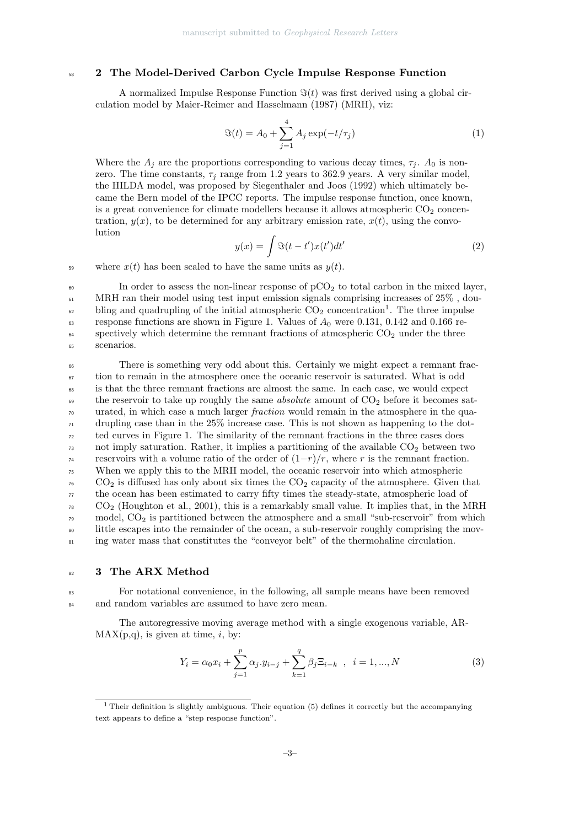## <sup>58</sup> 2 The Model-Derived Carbon Cycle Impulse Response Function

A normalized Impulse Response Function  $\Im(t)$  was first derived using a global circulation model by Maier-Reimer and Hasselmann (1987) (MRH), viz:

$$
\Im(t) = A_0 + \sum_{j=1}^{4} A_j \exp(-t/\tau_j)
$$
 (1)

Where the  $A_j$  are the proportions corresponding to various decay times,  $\tau_j$ .  $A_0$  is nonzero. The time constants,  $\tau_j$  range from 1.2 years to 362.9 years. A very similar model, the HILDA model, was proposed by Siegenthaler and Joos (1992) which ultimately became the Bern model of the IPCC reports. The impulse response function, once known, is a great convenience for climate modellers because it allows atmospheric  $CO<sub>2</sub>$  concentration,  $y(x)$ , to be determined for any arbitrary emission rate,  $x(t)$ , using the convolution

$$
y(x) = \int \Im(t - t')x(t')dt'
$$
\n(2)

59 where  $x(t)$  has been scaled to have the same units as  $y(t)$ .

<sup>60</sup> In order to assess the non-linear response of  $pCO<sub>2</sub>$  to total carbon in the mixed layer,  $61$  MRH ran their model using test input emission signals comprising increases of  $25\%$ , dou-<sup>62</sup> bling and quadrupling of the initial atmospheric  $CO_2$  concentration<sup>1</sup>. The three impulse  $\epsilon_{63}$  response functions are shown in Figure 1. Values of  $A_0$  were 0.131, 0.142 and 0.166 re- $\frac{64}{100}$  spectively which determine the remnant fractions of atmospheric CO<sub>2</sub> under the three <sup>65</sup> scenarios.

<sup>66</sup> There is something very odd about this. Certainly we might expect a remnant frac-<sup>67</sup> tion to remain in the atmosphere once the oceanic reservoir is saturated. What is odd <sup>68</sup> is that the three remnant fractions are almost the same. In each case, we would expect  $\epsilon_{\theta}$  the reservoir to take up roughly the same *absolute* amount of  $CO<sub>2</sub>$  before it becomes sat- $\tau_0$  urated, in which case a much larger *fraction* would remain in the atmosphere in the qua- $\pi$  drupling case than in the 25% increase case. This is not shown as happening to the dot-<sup>72</sup> ted curves in Figure 1. The similarity of the remnant fractions in the three cases does  $\sigma_3$  not imply saturation. Rather, it implies a partitioning of the available  $CO_2$  between two <sup>74</sup> reservoirs with a volume ratio of the order of  $(1-r)/r$ , where r is the remnant fraction. <sup>75</sup> When we apply this to the MRH model, the oceanic reservoir into which atmospheric  $\sigma$  CO<sub>2</sub> is diffused has only about six times the CO<sub>2</sub> capacity of the atmosphere. Given that  $\tau$  the ocean has been estimated to carry fifty times the steady-state, atmospheric load of  $\sigma_8$  CO<sub>2</sub> (Houghton et al., 2001), this is a remarkably small value. It implies that, in the MRH  $\tau$ <sup>9</sup> model,  $CO_2$  is partitioned between the atmosphere and a small "sub-reservoir" from which <sup>80</sup> little escapes into the remainder of the ocean, a sub-reservoir roughly comprising the mov-81 ing water mass that constitutes the "conveyor belt" of the thermohaline circulation.

## 82 3 The ARX Method

<sup>83</sup> For notational convenience, in the following, all sample means have been removed <sup>84</sup> and random variables are assumed to have zero mean.

The autoregressive moving average method with a single exogenous variable, AR- $MAX(p,q)$ , is given at time, *i*, by:

$$
Y_i = \alpha_0 x_i + \sum_{j=1}^p \alpha_j y_{i-j} + \sum_{k=1}^q \beta_j \Xi_{i-k} , \quad i = 1, ..., N
$$
 (3)

<sup>&</sup>lt;sup>1</sup> Their definition is slightly ambiguous. Their equation (5) defines it correctly but the accompanying text appears to define a "step response function".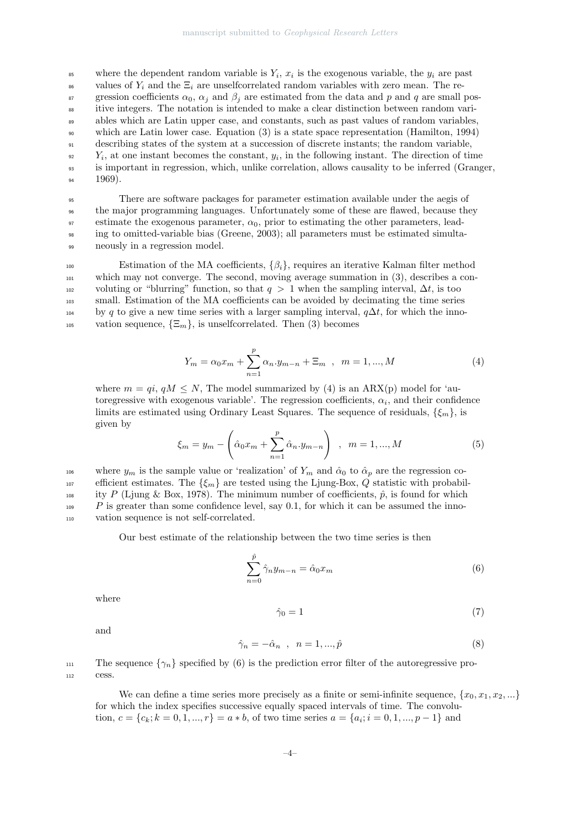$\mathcal{L}_{\text{ss}}$  where the dependent random variable is  $Y_i$ ,  $x_i$  is the exogenous variable, the  $y_i$  are past <sup>86</sup> values of  $Y_i$  and the  $\Xi_i$  are unselfcorrelated random variables with zero mean. The re-<sup>87</sup> gression coefficients  $\alpha_0$ ,  $\alpha_j$  and  $\beta_j$  are estimated from the data and p and q are small pos-<sup>88</sup> itive integers. The notation is intended to make a clear distinction between random vari-<sup>89</sup> ables which are Latin upper case, and constants, such as past values of random variables, <sup>90</sup> which are Latin lower case. Equation (3) is a state space representation (Hamilton, 1994) <sup>91</sup> describing states of the system at a succession of discrete instants; the random variable,  $Y_i$ , at one instant becomes the constant,  $y_i$ , in the following instant. The direction of time <sup>93</sup> is important in regression, which, unlike correlation, allows causality to be inferred (Granger,  $94 \qquad 1969$ ).

 There are software packages for parameter estimation available under the aegis of the major programming languages. Unfortunately some of these are flawed, because they 97 estimate the exogenous parameter,  $\alpha_0$ , prior to estimating the other parameters, lead- ing to omitted-variable bias (Greene, 2003); all parameters must be estimated simulta-neously in a regression model.

100 Estimation of the MA coefficients,  $\{\beta_i\}$ , requires an iterative Kalman filter method <sup>101</sup> which may not converge. The second, moving average summation in (3), describes a con-102 voluting or "blurring" function, so that  $q > 1$  when the sampling interval,  $\Delta t$ , is too <sup>103</sup> small. Estimation of the MA coefficients can be avoided by decimating the time series <sup>104</sup> by q to give a new time series with a larger sampling interval,  $q\Delta t$ , for which the inno-<sup>105</sup> vation sequence,  $\{\Xi_m\}$ , is unselfcorrelated. Then (3) becomes

$$
Y_m = \alpha_0 x_m + \sum_{n=1}^p \alpha_n y_{m-n} + \Xi_m , \quad m = 1, ..., M
$$
 (4)

where  $m = qi$ ,  $qM \leq N$ , The model summarized by (4) is an ARX(p) model for 'autoregressive with exogenous variable'. The regression coefficients,  $\alpha_i$ , and their confidence limits are estimated using Ordinary Least Squares. The sequence of residuals,  $\{\xi_m\}$ , is given by

$$
\xi_m = y_m - \left(\hat{\alpha}_0 x_m + \sum_{n=1}^p \hat{\alpha}_n y_{m-n}\right) , \ \ m = 1, ..., M
$$
 (5)

106 where  $y_m$  is the sample value or 'realization' of  $Y_m$  and  $\hat{\alpha}_0$  to  $\hat{\alpha}_p$  are the regression co-107 efficient estimates. The  $\{\xi_m\}$  are tested using the Ljung-Box, Q statistic with probabil-<sup>108</sup> ity P (Ljung & Box, 1978). The minimum number of coefficients,  $\hat{p}$ , is found for which  $P$  is greater than some confidence level, say 0.1, for which it can be assumed the inno-<sup>110</sup> vation sequence is not self-correlated.

Our best estimate of the relationship between the two time series is then

$$
\sum_{n=0}^{\hat{p}} \hat{\gamma}_n y_{m-n} = \hat{\alpha}_0 x_m \tag{6}
$$

where

$$
\hat{\gamma}_0 = 1\tag{7}
$$

and

$$
\hat{\gamma}_n = -\hat{\alpha}_n \quad , \quad n = 1, \dots, \hat{p} \tag{8}
$$

111 The sequence  $\{\gamma_n\}$  specified by (6) is the prediction error filter of the autoregressive pro-<sup>112</sup> cess.

We can define a time series more precisely as a finite or semi-infinite sequence,  $\{x_0, x_1, x_2, ...\}$ for which the index specifies successive equally spaced intervals of time. The convolution,  $c = \{c_k; k = 0, 1, ..., r\} = a * b$ , of two time series  $a = \{a_i; i = 0, 1, ..., p-1\}$  and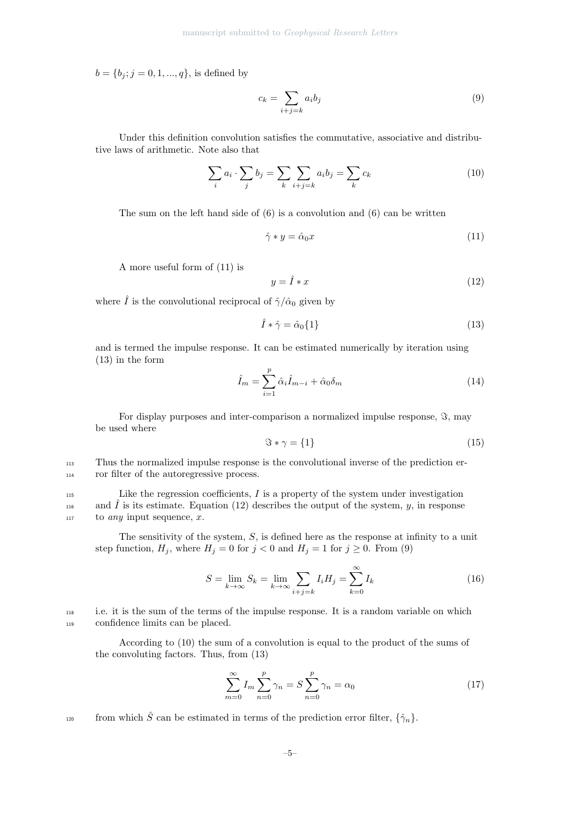$b = \{b_j; j = 0, 1, ..., q\}$ , is defined by

$$
c_k = \sum_{i+j=k} a_i b_j \tag{9}
$$

Under this definition convolution satisfies the commutative, associative and distributive laws of arithmetic. Note also that

$$
\sum_{i} a_i \cdot \sum_{j} b_j = \sum_{k} \sum_{i+j=k} a_i b_j = \sum_{k} c_k \tag{10}
$$

The sum on the left hand side of  $(6)$  is a convolution and  $(6)$  can be written

$$
\hat{\gamma} * y = \hat{\alpha}_0 x \tag{11}
$$

A more useful form of (11) is

$$
y = \hat{I} * x \tag{12}
$$

where  $\hat{I}$  is the convolutional reciprocal of  $\hat{\gamma}/\hat{\alpha}_0$  given by

$$
\hat{I} * \hat{\gamma} = \hat{\alpha}_0 \{1\} \tag{13}
$$

and is termed the impulse response. It can be estimated numerically by iteration using (13) in the form

$$
\hat{I}_m = \sum_{i=1}^p \hat{\alpha}_i \hat{I}_{m-i} + \hat{\alpha}_0 \delta_m \tag{14}
$$

For display purposes and inter-comparison a normalized impulse response,  $\Im$ , may be used where

$$
\Im * \gamma = \{1\} \tag{15}
$$

<sup>113</sup> Thus the normalized impulse response is the convolutional inverse of the prediction er-<sup>114</sup> ror filter of the autoregressive process.

 $115$  Like the regression coefficients,  $I$  is a property of the system under investigation <sup>116</sup> and  $\hat{I}$  is its estimate. Equation (12) describes the output of the system, y, in response  $117$  to any input sequence, x.

The sensitivity of the system,  $S$ , is defined here as the response at infinity to a unit step function,  $H_j$ , where  $H_j = 0$  for  $j < 0$  and  $H_j = 1$  for  $j \ge 0$ . From (9)

$$
S = \lim_{k \to \infty} S_k = \lim_{k \to \infty} \sum_{i+j=k} I_i H_j = \sum_{k=0}^{\infty} I_k
$$
\n(16)

<sup>118</sup> i.e. it is the sum of the terms of the impulse response. It is a random variable on which <sup>119</sup> confidence limits can be placed.

According to (10) the sum of a convolution is equal to the product of the sums of the convoluting factors. Thus, from (13)

$$
\sum_{m=0}^{\infty} I_m \sum_{n=0}^{p} \gamma_n = S \sum_{n=0}^{p} \gamma_n = \alpha_0 \tag{17}
$$

from which  $\hat{S}$  can be estimated in terms of the prediction error filter,  $\{\hat{\gamma}_n\}$ .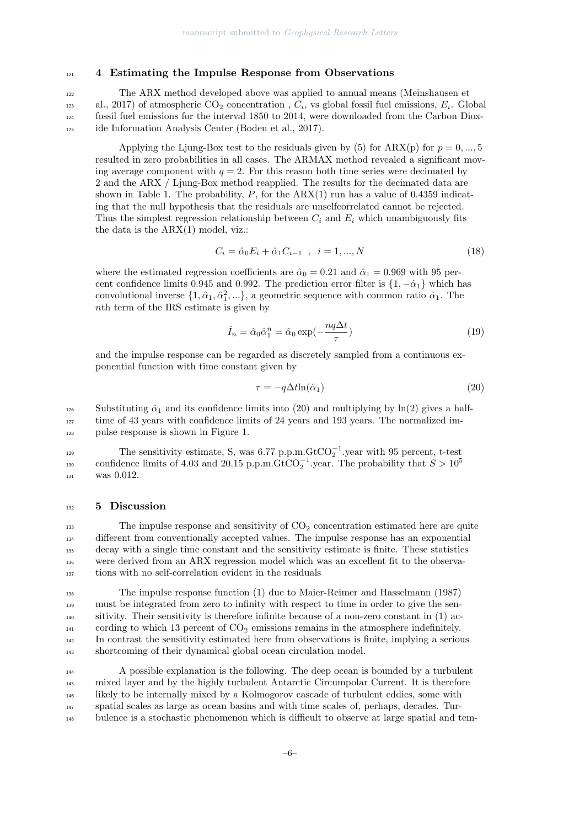## <sup>121</sup> 4 Estimating the Impulse Response from Observations

<sup>122</sup> The ARX method developed above was applied to annual means (Meinshausen et al., 2017) of atmospheric CO<sub>2</sub> concentration,  $C_i$ , vs global fossil fuel emissions,  $E_i$ . Global  $_{124}$  fossil fuel emissions for the interval 1850 to 2014, were downloaded from the Carbon Diox-<sup>125</sup> ide Information Analysis Center (Boden et al., 2017).

Applying the Liung-Box test to the residuals given by (5) for ARX(p) for  $p = 0, ..., 5$ resulted in zero probabilities in all cases. The ARMAX method revealed a significant moving average component with  $q = 2$ . For this reason both time series were decimated by 2 and the ARX / Ljung-Box method reapplied. The results for the decimated data are shown in Table 1. The probability,  $P$ , for the  $ARX(1)$  run has a value of 0.4359 indicating that the null hypothesis that the residuals are unselfcorrelated cannot be rejected. Thus the simplest regression relationship between  $C_i$  and  $E_i$  which unambiguously fits the data is the ARX(1) model, viz.:

$$
C_i = \hat{\alpha}_0 E_i + \hat{\alpha}_1 C_{i-1} , \quad i = 1, ..., N
$$
\n(18)

where the estimated regression coefficients are  $\hat{\alpha}_0 = 0.21$  and  $\hat{\alpha}_1 = 0.969$  with 95 percent confidence limits 0.945 and 0.992. The prediction error filter is  $\{1, -\hat{\alpha}_1\}$  which has convolutional inverse  $\{1, \hat{\alpha}_1, \hat{\alpha}_1^2, ...\}$ , a geometric sequence with common ratio  $\hat{\alpha}_1$ . The nth term of the IRS estimate is given by

$$
\hat{I}_n = \hat{\alpha}_0 \hat{\alpha}_1^n = \hat{\alpha}_0 \exp(-\frac{nq\Delta t}{\tau})
$$
\n(19)

and the impulse response can be regarded as discretely sampled from a continuous exponential function with time constant given by

$$
\tau = -q \Delta t \ln(\hat{\alpha}_1) \tag{20}
$$

126 Substituting  $\hat{\alpha}_1$  and its confidence limits into (20) and multiplying by ln(2) gives a half-<sup>127</sup> time of 43 years with confidence limits of 24 years and 193 years. The normalized im-<sup>128</sup> pulse response is shown in Figure 1.

The sensitivity estimate, S, was  $6.77$  p.p.m. $GtCO_2^{-1}$ . year with 95 percent, t-test confidence limits of 4.03 and 20.15 p.p.m.GtCO<sub>2</sub><sup>-1</sup>.year. The probability that  $S > 10^5$ 130 <sup>131</sup> was 0.012.

#### <sup>132</sup> 5 Discussion

 The impulse response and sensitivity of  $CO<sub>2</sub>$  concentration estimated here are quite different from conventionally accepted values. The impulse response has an exponential decay with a single time constant and the sensitivity estimate is finite. These statistics were derived from an ARX regression model which was an excellent fit to the observa-tions with no self-correlation evident in the residuals

 The impulse response function (1) due to Maier-Reimer and Hasselmann (1987) must be integrated from zero to infinity with respect to time in order to give the sen- sitivity. Their sensitivity is therefore infinite because of a non-zero constant in (1) ac- $_{141}$  cording to which 13 percent of  $CO<sub>2</sub>$  emissions remains in the atmosphere indefinitely. In contrast the sensitivity estimated here from observations is finite, implying a serious shortcoming of their dynamical global ocean circulation model.

 A possible explanation is the following. The deep ocean is bounded by a turbulent mixed layer and by the highly turbulent Antarctic Circumpolar Current. It is therefore likely to be internally mixed by a Kolmogorov cascade of turbulent eddies, some with spatial scales as large as ocean basins and with time scales of, perhaps, decades. Tur-bulence is a stochastic phenomenon which is difficult to observe at large spatial and tem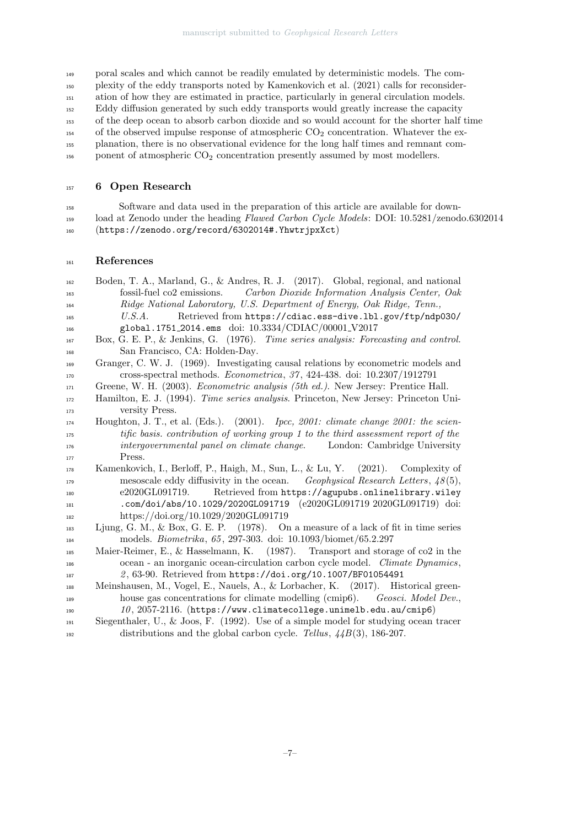poral scales and which cannot be readily emulated by deterministic models. The com- plexity of the eddy transports noted by Kamenkovich et al. (2021) calls for reconsider- ation of how they are estimated in practice, particularly in general circulation models. Eddy diffusion generated by such eddy transports would greatly increase the capacity of the deep ocean to absorb carbon dioxide and so would account for the shorter half time of the observed impulse response of atmospheric  $CO<sub>2</sub>$  concentration. Whatever the ex- planation, there is no observational evidence for the long half times and remnant com-156 ponent of atmospheric  $CO<sub>2</sub>$  concentration presently assumed by most modellers.

## 157 6 Open Research

 Software and data used in the preparation of this article are available for down-159 load at Zenodo under the heading Flawed Carbon Cycle Models: DOI: 10.5281/zenodo.6302014 (https://zenodo.org/record/6302014#.YhwtrjpxXct)

## References

| 162 | Boden, T. A., Marland, G., & Andres, R. J. (2017). Global, regional, and national                                                                              |
|-----|----------------------------------------------------------------------------------------------------------------------------------------------------------------|
| 163 | Carbon Dioxide Information Analysis Center, Oak<br>fossil-fuel co2 emissions.                                                                                  |
| 164 | Ridge National Laboratory, U.S. Department of Energy, Oak Ridge, Tenn.,                                                                                        |
| 165 | Retrieved from https://cdiac.ess-dive.1bl.gov/ftp/ndp030/<br>U.S.A.                                                                                            |
| 166 | global.1751_2014.ems doi: 10.3334/CDIAC/00001_V2017                                                                                                            |
| 167 | Box, G. E. P., & Jenkins, G. (1976). Time series analysis: Forecasting and control.                                                                            |
| 168 | San Francisco, CA: Holden-Day.                                                                                                                                 |
| 169 | Granger, C. W. J. (1969). Investigating causal relations by econometric models and                                                                             |
| 170 | cross-spectral methods. <i>Econometrica</i> , $37$ , $424-438$ . doi: $10.2307/1912791$                                                                        |
| 171 | Greene, W. H. (2003). <i>Econometric analysis (5th ed.)</i> . New Jersey: Prentice Hall.                                                                       |
| 172 | Hamilton, E. J. (1994). Time series analysis. Princeton, New Jersey: Princeton Uni-                                                                            |
| 173 | versity Press.                                                                                                                                                 |
| 174 | Houghton, J. T., et al. (Eds.). (2001). Ipcc, 2001: climate change 2001: the scien-                                                                            |
| 175 | tific basis. contribution of working group 1 to the third assessment report of the                                                                             |
| 176 | intergovernmental panel on climate change. London: Cambridge University                                                                                        |
| 177 | Press.                                                                                                                                                         |
| 178 | Kamenkovich, I., Berloff, P., Haigh, M., Sun, L., & Lu, Y. (2021). Complexity of                                                                               |
| 179 | mesoscale eddy diffusivity in the ocean. Geophysical Research Letters, $48(5)$ ,                                                                               |
| 180 | Retrieved from https://agupubs.onlinelibrary.wiley<br>e2020GL091719.                                                                                           |
| 181 | .com/doi/abs/10.1029/2020GL091719 (e2020GL091719 2020GL091719) doi:                                                                                            |
| 182 | https://doi.org/10.1029/2020GL091719                                                                                                                           |
| 183 | Ljung, G. M., & Box, G. E. P. $(1978)$ . On a measure of a lack of fit in time series                                                                          |
| 184 |                                                                                                                                                                |
|     | models. <i>Biometrika</i> , 65, 297-303. doi: 10.1093/biomet/65.2.297                                                                                          |
| 185 | Maier-Reimer, E., & Hasselmann, K. $(1987)$ . Transport and storage of co2 in the                                                                              |
| 186 | ocean - an inorganic ocean-circulation carbon cycle model. Climate Dynamics,                                                                                   |
| 187 | 2, 63-90. Retrieved from https://doi.org/10.1007/BF01054491                                                                                                    |
| 188 | Meinshausen, M., Vogel, E., Nauels, A., & Lorbacher, K. (2017). Historical green-                                                                              |
| 189 | house gas concentrations for climate modelling (cmip6). Geosci. Model Dev.,                                                                                    |
| 190 | $10, 2057-2116.$ (https://www.climatecollege.unimelb.edu.au/cmip6)                                                                                             |
| 191 | Siegenthaler, U., & Joos, F. (1992). Use of a simple model for studying ocean tracer<br>distributions and the global carbon cycle. Tellus, $44B(3)$ , 186-207. |